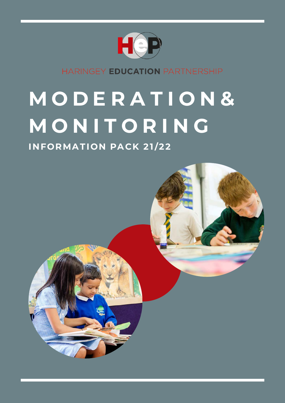

HARINGEY EDUCATION PARTNERSHIP

# **M O D E R A T I O N & M O N I T O R I N G**

## **INFORMATION PACK 21/22**

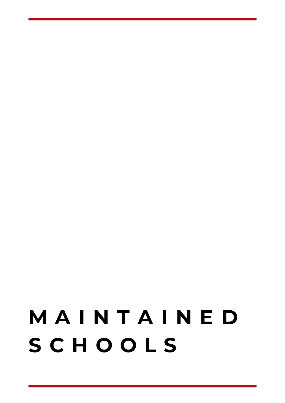## **M A I N T A I N E D S C H O O L S**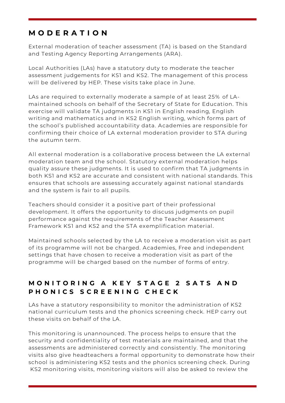## **M O D E R A T I O N**

External moderation of teacher assessment (TA) is based on the Standard and Testing Agency Reporting Arrangements (ARA).

Local Authorities (LAs) have a statutory duty to moderate the teacher assessment judgements for KS1 and KS2. The management of this process will be delivered by HEP. These visits take place in June.

LAs are required to externally moderate a sample of at least 25% of LAmaintained schools on behalf of the Secretary of State for Education. This exercise will validate TA judgments in KS1 in English reading, English writing and mathematics and in KS2 English writing, which forms part of the school's published accountability data. Academies are responsible for confirming their choice of LA external moderation provider to STA during the autumn term.

All external moderation is a collaborative process between the LA external moderation team and the school. Statutory external moderation helps quality assure these judgments. It is used to confirm that TA judgments in both KS1 and KS2 are accurate and consistent with national standards. This ensures that schools are assessing accurately against national standards and the system is fair to all pupils.

Teachers should consider it a positive part of their professional development. It offers the opportunity to discuss judgments on pupil performance against the requirements of the Teacher Assessment Framework KS1 and KS2 and the STA exemplification material.

Maintained schools selected by the LA to receive a moderation visit as part of its programme will not be charged. Academies, Free and independent settings that have chosen to receive a moderation visit as part of the programme will be charged based on the number of forms of entry.

### **M O N I T O R I N G A K E Y S T A G E 2 S A T S A N D P H O N I C S S C R E E N I N G C H E C K**

LAs have a statutory responsibility to monitor the administration of KS2 national curriculum tests and the phonics screening check. HEP carry out these visits on behalf of the LA.

This monitoring is unannounced. The process helps to ensure that the security and confidentiality of test materials are maintained, and that the assessments are administered correctly and consistently. The monitoring visits also give headteachers a formal opportunity to demonstrate how their school is administering KS2 tests and the phonics screening check. During KS2 monitoring visits, monitoring visitors will also be asked to review the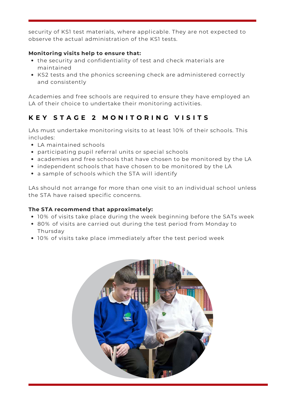security of KS1 test materials, where applicable. They are not expected to observe the actual administration of the KS1 tests.

#### **Monitoring visits help to ensure that:**

- the security and confidentiality of test and check materials are maintained
- KS2 tests and the phonics screening check are administered correctly and consistently

Academies and free schools are required to ensure they have employed an LA of their choice to undertake their monitoring activities.

## **K E Y S T A G E 2 M O N I T O R I N G V I S I T S**

LAs must undertake monitoring visits to at least 10% of their schools. This includes:

- LA maintained schools
- participating pupil referral units or special schools
- academies and free schools that have chosen to be monitored by the LA
- independent schools that have chosen to be monitored by the LA
- a sample of schools which the STA will identify

LAs should not arrange for more than one visit to an individual school unless the STA have raised specific concerns.

#### **The STA recommend that approximately:**

- 10% of visits take place during the week beginning before the SATs week
- 80% of visits are carried out during the test period from Monday to Thursday
- 10% of visits take place immediately after the test period week

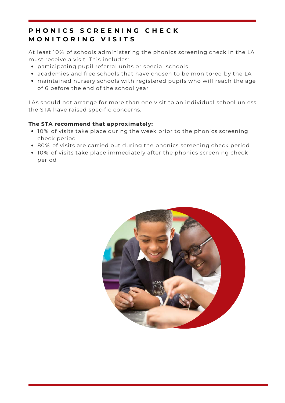### **P H O N I C S S C R E E N I N G C H E C K M O N I T O R I N G V I S I T S**

At least 10% of schools administering the phonics screening check in the LA must receive a visit. This includes:

- participating pupil referral units or special schools
- academies and free schools that have chosen to be monitored by the LA
- maintained nursery schools with registered pupils who will reach the age of 6 before the end of the school year

LAs should not arrange for more than one visit to an individual school unless the STA have raised specific concerns.

#### **The STA recommend that approximately:**

- 10% of visits take place during the week prior to the phonics screening check period
- 80% of visits are carried out during the phonics screening check period
- 10% of visits take place immediately after the phonics screening check period

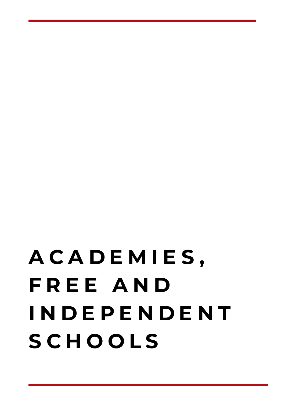# **A C A D E M I E S , F R E E A N D I N D E P E N D E N T S C H O O L S**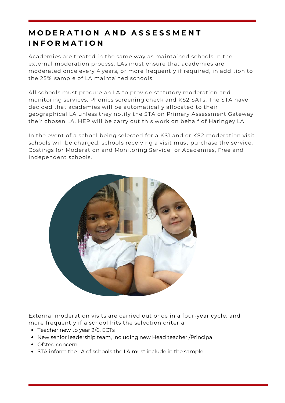## **M O D E R A T I O N A N D A S S E S S M E N T I N F O R M A T I O N**

Academies are treated in the same way as maintained schools in the external moderation process. LAs must ensure that academies are moderated once every 4 years, or more frequently if required, in addition to the 25% sample of LA maintained schools.

All schools must procure an LA to provide statutory moderation and monitoring services, Phonics screening check and KS2 SATs. The STA have decided that academies will be automatically allocated to their geographical LA unless they notify the STA on Primary Assessment Gateway their chosen LA. HEP will be carry out this work on behalf of Haringey LA.

In the event of a school being selected for a KS1 and or KS2 moderation visit schools will be charged, schools receiving a visit must purchase the service. Costings for Moderation and Monitoring Service for Academies, Free and Independent schools.



External moderation visits are carried out once in a four-year cycle, and more frequently if a school hits the selection criteria:

- Teacher new to year 2/6, ECTs
- New senior leadership team, including new Head teacher /Principal
- Ofsted concern
- STA inform the LA of schools the LA must include in the sample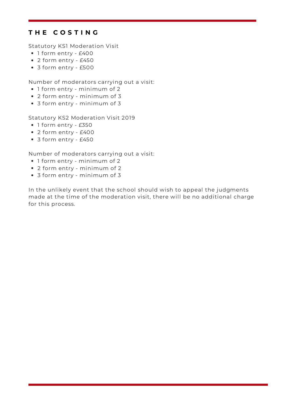#### **T H E C O S T I N G**

Statutory KS1 Moderation Visit

- 1 form entry £400
- 2 form entry £450
- 3 form entry £500

Number of moderators carrying out a visit:

- 1 form entry minimum of 2
- 2 form entry minimum of 3
- 3 form entry minimum of 3

Statutory KS2 Moderation Visit 2019

- 1 form entry £350
- 2 form entry £400
- 3 form entry £450

Number of moderators carrying out a visit:

- 1 form entry minimum of 2
- 2 form entry minimum of 2
- 3 form entry minimum of 3

In the unlikely event that the school should wish to appeal the judgments made at the time of the moderation visit, there will be no additional charge for this process.